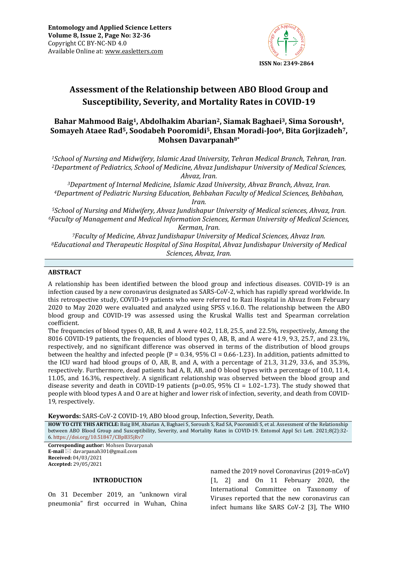

# **Assessment of the Relationship between ABO Blood Group and Susceptibility, Severity, and Mortality Rates in COVID-19**

## **Bahar Mahmood Baig1, Abdolhakim Abarian2, Siamak Baghaei3, Sima Soroush4, Somayeh Ataee Rad5, Soodabeh Pooromidi5, Ehsan Moradi-Joo6, Bita Gorjizadeh7, Mohsen Davarpanah8\***

*<sup>1</sup>School of Nursing and Midwifery, Islamic Azad University, Tehran Medical Branch, Tehran, Iran. <sup>2</sup>Department of Pediatrics, School of Medicine, Ahvaz Jundishapur University of Medical Sciences, Ahvaz, Iran.*

*<sup>3</sup>Department of Internal Medicine, Islamic Azad University, Ahvaz Branch, Ahvaz, Iran. <sup>4</sup>Department of Pediatric Nursing Education, Behbahan Faculty of Medical Sciences, Behbahan, Iran.*

*<sup>5</sup>School of Nursing and Midwifery, Ahvaz Jundishapur University of Medical sciences, Ahvaz, Iran. <sup>6</sup>Faculty of Management and Medical Information Sciences, Kerman University of Medical Sciences, Kerman, Iran.*

*<sup>7</sup>Faculty of Medicine, Ahvaz Jundishapur University of Medical Sciences, Ahvaz Iran. <sup>8</sup>Educational and Therapeutic Hospital of Sina Hospital, Ahvaz Jundishapur University of Medical Sciences, Ahvaz, Iran.*

#### **ABSTRACT**

A relationship has been identified between the blood group and infectious diseases. COVID-19 is an infection caused by a new coronavirus designated as SARS-CoV-2, which has rapidly spread worldwide. In this retrospective study, COVID-19 patients who were referred to Razi Hospital in Ahvaz from February 2020 to May 2020 were evaluated and analyzed using SPSS v.16.0. The relationship between the ABO blood group and COVID-19 was assessed using the Kruskal Wallis test and Spearman correlation coefficient.

The frequencies of blood types O, AB, B, and A were 40.2, 11.8, 25.5, and 22.5%, respectively, Among the 8016 COVID-19 patients, the frequencies of blood types O, AB, B, and A were 41.9, 9.3, 25.7, and 23.1%, respectively, and no significant difference was observed in terms of the distribution of blood groups between the healthy and infected people ( $P = 0.34$ ,  $95\%$  CI = 0.66-1.23). In addition, patients admitted to the ICU ward had blood groups of O, AB, B, and A, with a percentage of 21.3, 31.29, 33.6, and 35.3%, respectively. Furthermore, dead patients had A, B, AB, and O blood types with a percentage of 10.0, 11.4, 11.05, and 16.3%, respectively. A significant relationship was observed between the blood group and disease severity and death in COVID-19 patients ( $p=0.05$ ,  $95\%$  CI = 1.02-1.73). The study showed that people with blood types A and O are at higher and lower risk of infection, severity, and death from COVID-19, respectively.

**Keywords:** SARS-CoV-2 COVID-19, ABO blood group, Infection, Severity, Death*.*

**HOW TO CITE THIS ARTICLE:** Baig BM, Abarian A, Baghaei S, Soroush S, Rad SA, Pooromidi S, et al. Assessment of the Relationship between ABO Blood Group and Susceptibility, Severity, and Mortality Rates in COVID-19. Entomol Appl Sci Lett. 2021;8(2):32- 6. <https://doi.org/10.51847/CBpB35jRv7>

**Corresponding author:** Mohsen Davarpanah **E-mail** ⊠ davarpanah301@gmail.com **Received:** 04/03/2021 **Accepted:** 29/05/2021

#### **INTRODUCTION**

On 31 December 2019, an "unknown viral pneumonia" first occurred in Wuhan, China named the 2019 novel Coronavirus (2019-nCoV) [1, 2] and On 11 February 2020, the International Committee on Taxonomy of Viruses reported that the new coronavirus can infect humans like SARS CoV-2 [3], The WHO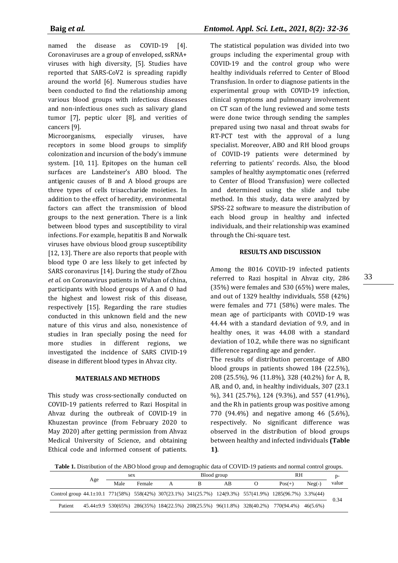named the disease as COVID-19 [4]. Coronaviruses are a group of enveloped, ssRNA+ viruses with high diversity, [5]. Studies have reported that SARS-CoV2 is spreading rapidly around the world [6]. Numerous studies have been conducted to find the relationship among various blood groups with infectious diseases and non-infectious ones such as salivary gland tumor [7], peptic ulcer [8], and verities of cancers [9].

Microorganisms, especially viruses, have receptors in some blood groups to simplify colonization and incursion of the body's immune system. [10, 11]. Epitopes on the human cell surfaces are Landsteiner's ABO blood. The antigenic causes of B and A blood groups are three types of cells trisaccharide moieties. In addition to the effect of heredity, environmental factors can affect the transmission of blood groups to the next generation. There is a link between blood types and susceptibility to viral infections. For example, hepatitis B and Norwalk viruses have obvious blood group susceptibility [12, 13]. There are also reports that people with blood type O are less likely to get infected by SARS coronavirus [14]. During the study of Zhou *et al.* on Coronavirus patients in Wuhan of china, participants with blood groups of A and O had the highest and lowest risk of this disease, respectively [15]. Regarding the rare studies conducted in this unknown field and the new nature of this virus and also, nonexistence of studies in Iran specially posing the need for more studies in different regions, we investigated the incidence of SARS CIVID-19 disease in different blood types in Ahvaz city.

#### **MATERIALS AND METHODS**

This study was cross-sectionally conducted on COVID-19 patients referred to Razi Hospital in Ahvaz during the outbreak of COVID-19 in Khuzestan province (from February 2020 to May 2020) after getting permission from Ahvaz Medical University of Science, and obtaining Ethical code and informed consent of patients.

The statistical population was divided into two groups including the experimental group with COVID-19 and the control group who were healthy individuals referred to Center of Blood Transfusion. In order to diagnose patients in the experimental group with COVID-19 infection, clinical symptoms and pulmonary involvement on CT scan of the lung reviewed and some tests were done twice through sending the samples prepared using two nasal and throat swabs for RT-PCT test with the approval of a lung specialist. Moreover, ABO and RH blood groups of COVID-19 patients were determined by referring to patients' records. Also, the blood samples of healthy asymptomatic ones (referred to Center of Blood Transfusion) were collected and determined using the slide and tube method. In this study, data were analyzed by SPSS-22 software to measure the distribution of each blood group in healthy and infected individuals, and their relationship was examined through the Chi-square test.

#### **RESULTS AND DISCUSSION**

Among the 8016 COVID-19 infected patients referred to Razi hospital in Ahvaz city, 286 (35%) were females and 530 (65%) were males, and out of 1329 healthy individuals, 558 (42%) were females and 771 (58%) were males. The mean age of participants with COVID-19 was 44.44 with a standard deviation of 9.9, and in healthy ones, it was 44.08 with a standard deviation of 10.2, while there was no significant difference regarding age and gender.

The results of distribution percentage of ABO blood groups in patients showed 184 (22.5%), 208 (25.5%), 96 (11.8%), 328 (40.2%) for A, B, AB, and O, and, in healthy individuals, 307 (23.1 %), 341 (25.7%), 124 (9.3%), and 557 (41.9%), and the Rh in patients group was positive among 770 (94.4%) and negative among 46 (5.6%), respectively. No significant difference was observed in the distribution of blood groups between healthy and infected individuals **(Table 1)**.

**Table 1.** Distribution of the ABO blood group and demographic data of COVID-19 patients and normal control groups.

|                                                                                                                 |  | sex  |        | Blood group |  |    |  | RH                                                                                |          | D-    |
|-----------------------------------------------------------------------------------------------------------------|--|------|--------|-------------|--|----|--|-----------------------------------------------------------------------------------|----------|-------|
| Age                                                                                                             |  | Male | Female | А           |  | АB |  | $Pos(+)$                                                                          | $Neg(-)$ | value |
| Control group $44.1 \pm 10.1$ 771(58%) 558(42%) 307(23.1%) 341(25.7%) 124(9.3%) 557(41.9%) 1285(96.7%) 3.3%(44) |  |      |        |             |  |    |  |                                                                                   |          | 0.34  |
| Patient                                                                                                         |  |      |        |             |  |    |  | 45.44±9.9 530(65%) 286(35%) 184(22.5%) 208(25.5%) 96(11.8%) 328(40.2%) 770(94.4%) | 46(5.6%) |       |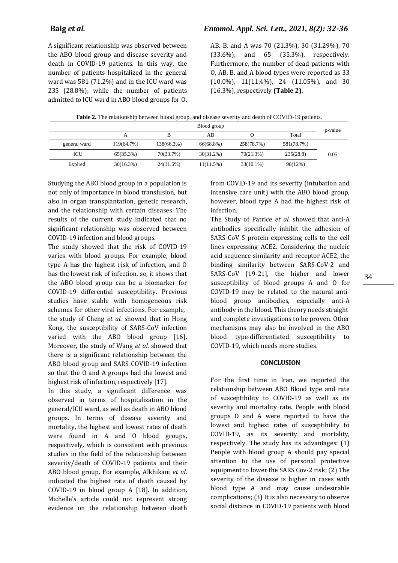A significant relationship was observed between the ABO blood group and disease severity and death in COVID-19 patients. In this way, the number of patients hospitalized in the general ward was 581 (71.2%) and in the ICU ward was 235 (28.8%); while the number of patients admitted to ICU ward in ABO blood groups for O, AB, B, and A was 70 (21.3%), 30 (31.29%), 70 (33.6%), and 65 (35.3%), respectively. Furthermore, the number of dead patients with O, AB, B, and A blood types were reported as 33 (10.0%), 11(11.4%), 24 (11.05%), and 30 (16.3%), respectively **(Table 2)**.

|              | Blood group  |            |              |              |            |         |  |
|--------------|--------------|------------|--------------|--------------|------------|---------|--|
|              |              | в          | AB           |              | Total      | p-value |  |
| general ward | 119(64.7%)   | 138(66.3%) | 66(68.8%)    | 258(78.7%)   | 581(78.7%) |         |  |
| ICU          | 65(35.3%)    | 70(33.7%)  | $30(31.2\%)$ | 70(21.3%)    | 235(28.8)  | 0.05    |  |
| Expired      | $30(16.3\%)$ | 24(11.5%)  | 11(11.5%)    | $33(10.1\%)$ | 98(12%)    |         |  |

Studying the ABO blood group in a population is not only of importance in blood transfusion, but also in organ transplantation, genetic research, and the relationship with certain diseases. The results of the current study indicated that no significant relationship was observed between COVID-19 infection and blood groups.

The study showed that the risk of COVID-19 varies with blood groups. For example, blood type A has the highest risk of infection, and O has the lowest risk of infection, so, it shows that the ABO blood group can be a biomarker for COVID-19 differential susceptibility. Previous studies have stable with homogeneous risk schemes for other viral infections. For example, the study of Cheng *et al.* showed that in Hong Kong, the susceptibility of SARS-CoV infection varied with the ABO blood group [16]. Moreover, the study of Wang *et al.* showed that there is a significant relationship between the ABO blood group and SARS COVID-19 infection so that the O and A groups had the lowest and highest risk of infection, respectively [17].

In this study, a significant difference was observed in terms of hospitalization in the general/ICU ward, as well as death in ABO blood groups. In terms of disease severity and mortality, the highest and lowest rates of death were found in A and O blood groups, respectively, which is consistent with previous studies in the field of the relationship between severity/death of COVID-19 patients and their ABO blood group. For example, Alkhikani *et al.* indicated the highest rate of death caused by COVID-19 in blood group A [18]. In addition, Michelle's article could not represent strong evidence on the relationship between death

from COVID-19 and its severity (intubation and intensive care unit) with the ABO blood group, however, blood type A had the highest risk of infection.

The Study of Patrice *et al.* showed that anti-A antibodies specifically inhibit the adhesion of SARS-CoV S protein-expressing cells to the cell lines expressing ACE2. Considering the nucleic acid sequence similarity and receptor ACE2, the binding similarity between SARS-CoV-2 and SARS-CoV [19-21], the higher and lower susceptibility of blood groups A and O for COVID-19 may be related to the natural antiblood group antibodies, especially anti-A antibody in the blood. This theory needs straight and complete investigations to be proven. Other mechanisms may also be involved in the ABO blood type-differentiated susceptibility to COVID-19, which needs more studies.

#### **CONCLUSION**

For the first time in Iran, we reported [the](https://www.researchgate.net/profile/Bahadir-Yazicioglu-2/publication/344607386_The_Assessment_of_the_Relationship_Between_ABO_Blood_Groups_and_Covid-19_Infection/links/5f840d1492851c14bcc1462e/The-Assessment-of-the-Relationship-Between-ABO-Blood-Groups-and-Covid-19-Infection.pdf)  [relationship between](https://www.researchgate.net/profile/Bahadir-Yazicioglu-2/publication/344607386_The_Assessment_of_the_Relationship_Between_ABO_Blood_Groups_and_Covid-19_Infection/links/5f840d1492851c14bcc1462e/The-Assessment-of-the-Relationship-Between-ABO-Blood-Groups-and-Covid-19-Infection.pdf) ABO Blood type and rate of susceptibility to COVID-19 as well as its severity and mortality rate. People with blood groups O and A were reported to have the lowest and highest rates of susceptibility to COVID-19, as its severity and mortality, respectively. The study has its advantages: (1) People with blood group A should pay special attention to the use of personal protective equipment to lower the SARS Cov-2 risk; (2) The severity of the disease is higher in cases with blood type A and may cause undesirable complications; (3) It is also necessary to observe social distance in COVID-19 patients with blood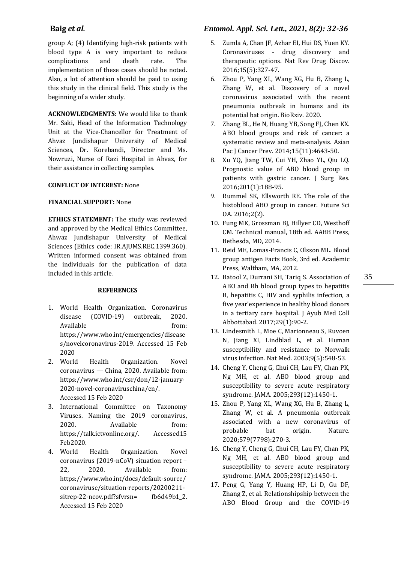## **Baig** *et al.**Entomol. Appl. Sci. Lett., 2021, 8(2): 32-36*

group A; (4) Identifying high-risk patients with blood type A is very important to reduce complications and death rate. The implementation of these cases should be noted. Also, a lot of attention should be paid to using this study in the clinical field. This study is the beginning of a wider study.

**ACKNOWLEDGMENTS:** We would like to thank Mr. Saki, Head of the Information Technology Unit at the Vice-Chancellor for Treatment of Ahvaz Jundishapur University of Medical Sciences, Dr. Korebandi, Director and Ms. Nowruzi, Nurse of Razi Hospital in Ahvaz, for their assistance in collecting samples.

## **CONFLICT OF INTEREST:** None

## **FINANCIAL SUPPORT:** None

**ETHICS STATEMENT:** The study was reviewed and approved by the Medical Ethics Committee, Ahwaz Jundishapur University of Medical Sciences (Ethics code: IR.AJUMS.REC.1399.360). Written informed consent was obtained from the individuals for the publication of data included in this article.

### **REFERENCES**

- 1. World Health Organization. Coronavirus disease (COVID-19) outbreak, 2020. Available from: https://www.who.int/emergencies/disease s/novelcoronavirus-2019. Accessed 15 Feb 2020
- 2. World Health Organization. Novel coronavirus — China, 2020. Available from: https://www.who.int/csr/don/12-january-2020-novel-coronaviruschina/en/. Accessed 15 Feb 2020
- 3. International Committee on Taxonomy Viruses. Naming the 2019 coronavirus, 2020. Available from: https://talk.ictvonline.org/. Accessed15 Feb2020.
- 4. World Health Organization. Novel coronavirus (2019-nCoV) situation report – 22, 2020. Available from: https://www.who.int/docs/default-source/ coronaviruse/situation-reports/20200211 sitrep-22-ncov.pdf?sfvrsn= fb6d49b1\_2. Accessed 15 Feb 2020
- 5. Zumla A, Chan JF, Azhar EI, Hui DS, Yuen KY. Coronaviruses - drug discovery and therapeutic options. Nat Rev Drug Discov. 2016;15(5):327-47.
- 6. Zhou P, Yang XL, Wang XG, Hu B, Zhang L, Zhang W, et al. Discovery of a novel coronavirus associated with the recent pneumonia outbreak in humans and its potential bat origin. BioRxiv. 2020.
- 7. Zhang BL, He N, Huang YB, Song FJ, Chen KX. ABO blood groups and risk of cancer: a systematic review and meta-analysis. Asian Pac J Cancer Prev. 2014;15(11):4643-50.
- 8. Xu YQ, Jiang TW, Cui YH, Zhao YL, Qiu LQ. Prognostic value of ABO blood group in patients with gastric cancer. J Surg Res. 2016;201(1):188-95.
- 9. Rummel SK, Ellsworth RE. The role of the histoblood ABO group in cancer. Future Sci OA. 2016;2(2).
- 10. Fung MK, Grossman BJ, Hillyer CD, Westhoff CM. Technical manual, 18th ed. AABB Press, Bethesda, MD, 2014.
- 11. Reid ME, Lomas-Francis C, Olsson ML. Blood group antigen Facts Book, 3rd ed. Academic Press, Waltham, MA, 2012.
- 12. Batool Z, Durrani SH, Tariq S. Association of ABO and Rh blood group types to hepatitis B, hepatitis C, HIV and syphilis infection, a five year'experience in healthy blood donors in a tertiary care hospital. J Ayub Med Coll Abbottabad. 2017;29(1):90-2.
- 13. Lindesmith L, Moe C, Marionneau S, Ruvoen N, Jiang XI, Lindblad L, et al. Human susceptibility and resistance to Norwalk virus infection. Nat Med. 2003;9(5):548-53.
- 14. Cheng Y, Cheng G, Chui CH, Lau FY, Chan PK, Ng MH, et al. ABO blood group and susceptibility to severe acute respiratory syndrome. JAMA. 2005;293(12):1450-1.
- 15. Zhou P, Yang XL, Wang XG, Hu B, Zhang L, Zhang W, et al. A pneumonia outbreak associated with a new coronavirus of probable bat origin. Nature. 2020;579(7798):270-3.
- 16. Cheng Y, Cheng G, Chui CH, Lau FY, Chan PK, Ng MH, et al. ABO blood group and susceptibility to severe acute respiratory syndrome. JAMA. 2005;293(12):1450-1.
- 17. Peng G, Yang Y, Huang HP, Li D, Gu DF, Zhang Z, et al. Relationshipship between the ABO Blood Group and the COVID-19

35